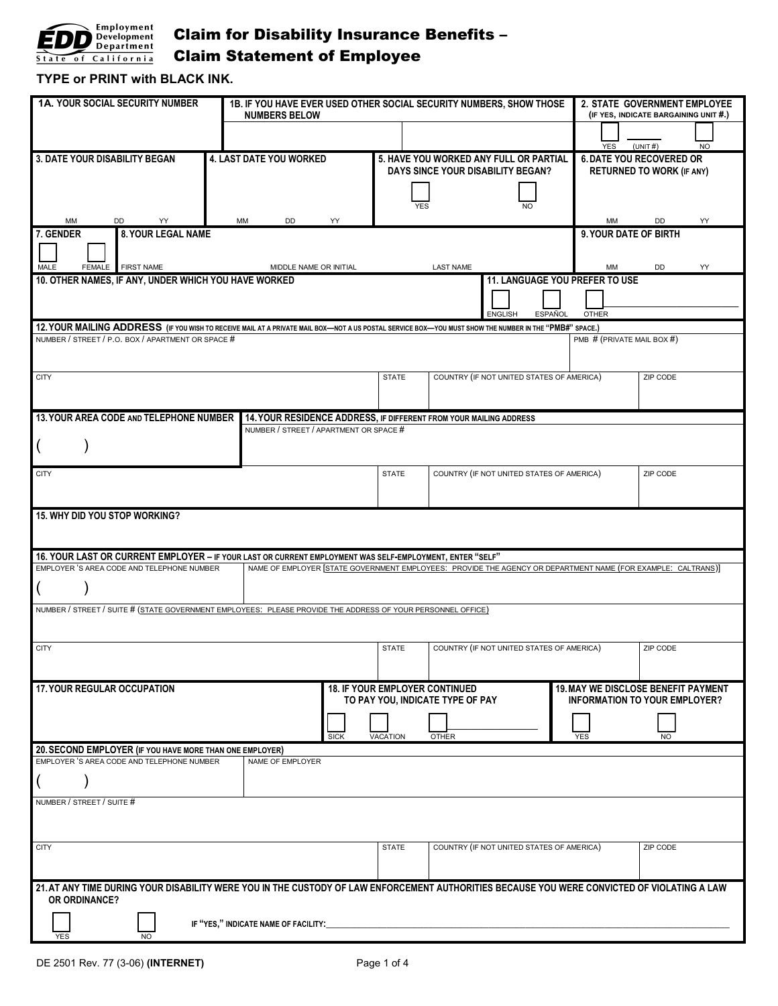

## Claim for Disability Insurance Benefits – Claim Statement of Employee

**TYPE or PRINT with BLACK INK.** 

| <b>1A. YOUR SOCIAL SECURITY NUMBER</b>                                                                                                                 | 1B. IF YOU HAVE EVER USED OTHER SOCIAL SECURITY NUMBERS, SHOW THOSE<br>2. STATE GOVERNMENT EMPLOYEE<br><b>NUMBERS BELOW</b><br>(IF YES, INDICATE BARGAINING UNIT #.) |              |                                                       |                                  |                                           |                                |                                                                                                              |  |
|--------------------------------------------------------------------------------------------------------------------------------------------------------|----------------------------------------------------------------------------------------------------------------------------------------------------------------------|--------------|-------------------------------------------------------|----------------------------------|-------------------------------------------|--------------------------------|--------------------------------------------------------------------------------------------------------------|--|
|                                                                                                                                                        |                                                                                                                                                                      |              |                                                       |                                  |                                           |                                |                                                                                                              |  |
| 3. DATE YOUR DISABILITY BEGAN                                                                                                                          | <b>4. LAST DATE YOU WORKED</b>                                                                                                                                       |              |                                                       |                                  | 5. HAVE YOU WORKED ANY FULL OR PARTIAL    | <b>YES</b>                     | (UNIT#)<br><b>NO</b><br><b>6. DATE YOU RECOVERED OR</b>                                                      |  |
|                                                                                                                                                        |                                                                                                                                                                      |              |                                                       |                                  | DAYS SINCE YOUR DISABILITY BEGAN?         |                                | <b>RETURNED TO WORK (IF ANY)</b>                                                                             |  |
|                                                                                                                                                        |                                                                                                                                                                      |              | <b>YES</b>                                            |                                  | N <sub>O</sub>                            |                                |                                                                                                              |  |
| DD<br>YY<br>МM                                                                                                                                         | DD<br>MМ                                                                                                                                                             | YY           |                                                       |                                  |                                           | MM                             | DD<br>YY                                                                                                     |  |
| <b>8. YOUR LEGAL NAME</b><br>7. GENDER                                                                                                                 |                                                                                                                                                                      |              |                                                       |                                  |                                           | 9. YOUR DATE OF BIRTH          |                                                                                                              |  |
| MALE<br>FEMALE FIRST NAME                                                                                                                              | MIDDLE NAME OR INITIAL                                                                                                                                               |              |                                                       | <b>LAST NAME</b>                 |                                           | MM                             | DD<br>YY                                                                                                     |  |
| 10. OTHER NAMES, IF ANY, UNDER WHICH YOU HAVE WORKED                                                                                                   |                                                                                                                                                                      |              |                                                       |                                  |                                           | 11. LANGUAGE YOU PREFER TO USE |                                                                                                              |  |
|                                                                                                                                                        |                                                                                                                                                                      |              |                                                       |                                  | <b>ENGLISH</b>                            | <b>OTHER</b>                   |                                                                                                              |  |
| 12. YOUR MAILING ADDRESS (IF YOU WISH TO RECEIVE MAIL AT A PRIVATE MAIL BOX-NOT A US POSTAL SERVICE BOX-YOU MUST SHOW THE NUMBER IN THE "PMB#" SPACE.) |                                                                                                                                                                      |              |                                                       |                                  | <b>ESPAÑOL</b>                            |                                |                                                                                                              |  |
| NUMBER / STREET / P.O. BOX / APARTMENT OR SPACE #                                                                                                      |                                                                                                                                                                      |              |                                                       |                                  |                                           | PMB # (PRIVATE MAIL BOX #)     |                                                                                                              |  |
| <b>CITY</b>                                                                                                                                            |                                                                                                                                                                      |              | <b>STATE</b>                                          |                                  | COUNTRY (IF NOT UNITED STATES OF AMERICA) |                                | ZIP CODE                                                                                                     |  |
|                                                                                                                                                        |                                                                                                                                                                      |              |                                                       |                                  |                                           |                                |                                                                                                              |  |
| 13. YOUR AREA CODE AND TELEPHONE NUMBER 14. YOUR RESIDENCE ADDRESS, IF DIFFERENT FROM YOUR MAILING ADDRESS                                             |                                                                                                                                                                      |              |                                                       |                                  |                                           |                                |                                                                                                              |  |
|                                                                                                                                                        | NUMBER / STREET / APARTMENT OR SPACE #                                                                                                                               |              |                                                       |                                  |                                           |                                |                                                                                                              |  |
|                                                                                                                                                        |                                                                                                                                                                      |              |                                                       |                                  |                                           |                                |                                                                                                              |  |
| <b>CITY</b>                                                                                                                                            |                                                                                                                                                                      |              | <b>STATE</b>                                          |                                  | COUNTRY (IF NOT UNITED STATES OF AMERICA) |                                | ZIP CODE                                                                                                     |  |
|                                                                                                                                                        |                                                                                                                                                                      |              |                                                       |                                  |                                           |                                |                                                                                                              |  |
| 15. WHY DID YOU STOP WORKING?                                                                                                                          |                                                                                                                                                                      |              |                                                       |                                  |                                           |                                |                                                                                                              |  |
|                                                                                                                                                        |                                                                                                                                                                      |              |                                                       |                                  |                                           |                                |                                                                                                              |  |
| 16. YOUR LAST OR CURRENT EMPLOYER - IF YOUR LAST OR CURRENT EMPLOYMENT WAS SELF-EMPLOYMENT, ENTER "SELF"<br>EMPLOYER 'S AREA CODE AND TELEPHONE NUMBER |                                                                                                                                                                      |              |                                                       |                                  |                                           |                                | NAME OF EMPLOYER [STATE GOVERNMENT EMPLOYEES: PROVIDE THE AGENCY OR DEPARTMENT NAME (FOR EXAMPLE: CALTRANS)] |  |
|                                                                                                                                                        |                                                                                                                                                                      |              |                                                       |                                  |                                           |                                |                                                                                                              |  |
| NUMBER / STREET / SUITE # (STATE GOVERNMENT EMPLOYEES: PLEASE PROVIDE THE ADDRESS OF YOUR PERSONNEL OFFICE)                                            |                                                                                                                                                                      |              |                                                       |                                  |                                           |                                |                                                                                                              |  |
|                                                                                                                                                        |                                                                                                                                                                      |              |                                                       |                                  |                                           |                                |                                                                                                              |  |
| <b>CITY</b>                                                                                                                                            |                                                                                                                                                                      | <b>STATE</b> | COUNTRY (IF NOT UNITED STATES OF AMERICA)<br>ZIP CODE |                                  |                                           |                                |                                                                                                              |  |
|                                                                                                                                                        |                                                                                                                                                                      |              |                                                       |                                  |                                           |                                |                                                                                                              |  |
| <b>17. YOUR REGULAR OCCUPATION</b>                                                                                                                     |                                                                                                                                                                      |              | <b>18. IF YOUR EMPLOYER CONTINUED</b>                 | TO PAY YOU, INDICATE TYPE OF PAY |                                           |                                | 19. MAY WE DISCLOSE BENEFIT PAYMENT<br><b>INFORMATION TO YOUR EMPLOYER?</b>                                  |  |
|                                                                                                                                                        |                                                                                                                                                                      |              |                                                       |                                  |                                           |                                |                                                                                                              |  |
|                                                                                                                                                        |                                                                                                                                                                      | <b>SICK</b>  | VACATION                                              | <b>OTHER</b>                     |                                           | <b>YES</b>                     | N <sub>O</sub>                                                                                               |  |
| 20. SECOND EMPLOYER (IF YOU HAVE MORE THAN ONE EMPLOYER)<br>EMPLOYER 'S AREA CODE AND TELEPHONE NUMBER                                                 | NAME OF EMPLOYER                                                                                                                                                     |              |                                                       |                                  |                                           |                                |                                                                                                              |  |
|                                                                                                                                                        |                                                                                                                                                                      |              |                                                       |                                  |                                           |                                |                                                                                                              |  |
| NUMBER / STREET / SUITE #                                                                                                                              |                                                                                                                                                                      |              |                                                       |                                  |                                           |                                |                                                                                                              |  |
|                                                                                                                                                        |                                                                                                                                                                      |              |                                                       |                                  |                                           |                                |                                                                                                              |  |
| <b>CITY</b>                                                                                                                                            |                                                                                                                                                                      |              | <b>STATE</b>                                          |                                  | COUNTRY (IF NOT UNITED STATES OF AMERICA) |                                | ZIP CODE                                                                                                     |  |
|                                                                                                                                                        |                                                                                                                                                                      |              |                                                       |                                  |                                           |                                |                                                                                                              |  |
| 21. AT ANY TIME DURING YOUR DISABILITY WERE YOU IN THE CUSTODY OF LAW ENFORCEMENT AUTHORITIES BECAUSE YOU WERE CONVICTED OF VIOLATING A LAW            |                                                                                                                                                                      |              |                                                       |                                  |                                           |                                |                                                                                                              |  |
| <b>OR ORDINANCE?</b>                                                                                                                                   |                                                                                                                                                                      |              |                                                       |                                  |                                           |                                |                                                                                                              |  |
| <b>YES</b><br>NΩ                                                                                                                                       |                                                                                                                                                                      |              |                                                       |                                  |                                           |                                |                                                                                                              |  |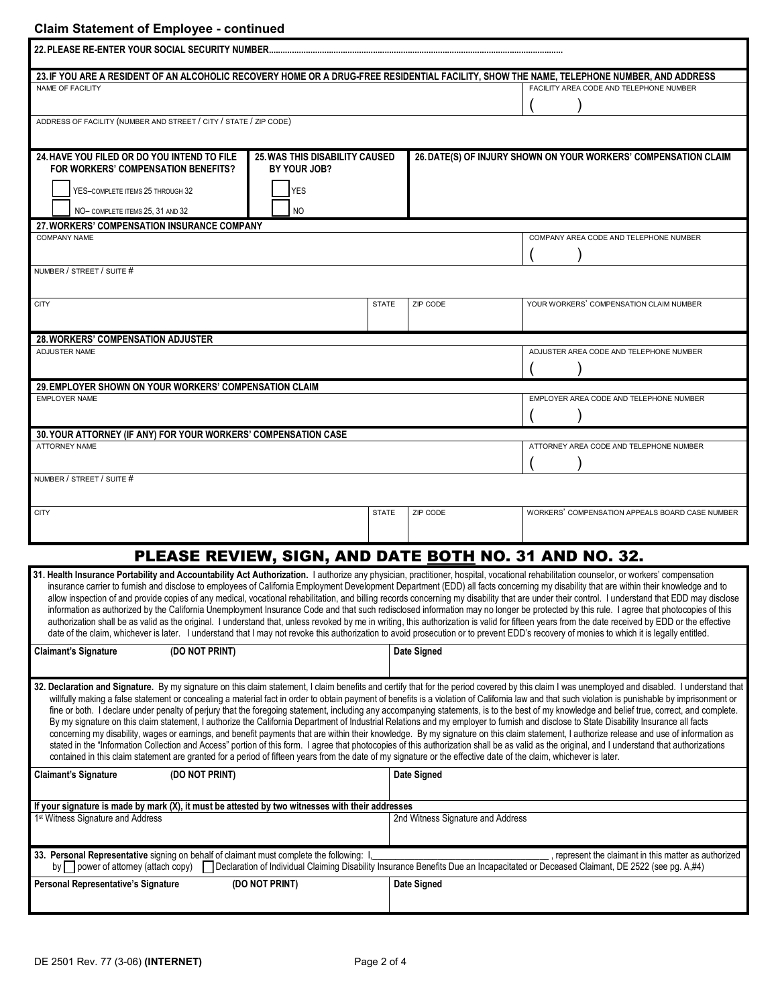## **Claim Statement of Employee - continued**

| 23. IF YOU ARE A RESIDENT OF AN ALCOHOLIC RECOVERY HOME OR A DRUG-FREE RESIDENTIAL FACILITY, SHOW THE NAME, TELEPHONE NUMBER, AND ADDRESS                                                                                                                                                                                                                                                                                                                                                                                                                                                                                                                                                                                                                                                                                                                                                                                                                                                                                                                                                                                                                                                                                                                                                                                                                                                                                          |              |                                   |                                                                                                                                    |  |
|------------------------------------------------------------------------------------------------------------------------------------------------------------------------------------------------------------------------------------------------------------------------------------------------------------------------------------------------------------------------------------------------------------------------------------------------------------------------------------------------------------------------------------------------------------------------------------------------------------------------------------------------------------------------------------------------------------------------------------------------------------------------------------------------------------------------------------------------------------------------------------------------------------------------------------------------------------------------------------------------------------------------------------------------------------------------------------------------------------------------------------------------------------------------------------------------------------------------------------------------------------------------------------------------------------------------------------------------------------------------------------------------------------------------------------|--------------|-----------------------------------|------------------------------------------------------------------------------------------------------------------------------------|--|
| NAME OF FACILITY                                                                                                                                                                                                                                                                                                                                                                                                                                                                                                                                                                                                                                                                                                                                                                                                                                                                                                                                                                                                                                                                                                                                                                                                                                                                                                                                                                                                                   |              |                                   | FACILITY AREA CODE AND TELEPHONE NUMBER                                                                                            |  |
|                                                                                                                                                                                                                                                                                                                                                                                                                                                                                                                                                                                                                                                                                                                                                                                                                                                                                                                                                                                                                                                                                                                                                                                                                                                                                                                                                                                                                                    |              |                                   |                                                                                                                                    |  |
|                                                                                                                                                                                                                                                                                                                                                                                                                                                                                                                                                                                                                                                                                                                                                                                                                                                                                                                                                                                                                                                                                                                                                                                                                                                                                                                                                                                                                                    |              |                                   |                                                                                                                                    |  |
| ADDRESS OF FACILITY (NUMBER AND STREET / CITY / STATE / ZIP CODE)                                                                                                                                                                                                                                                                                                                                                                                                                                                                                                                                                                                                                                                                                                                                                                                                                                                                                                                                                                                                                                                                                                                                                                                                                                                                                                                                                                  |              |                                   |                                                                                                                                    |  |
| 24. HAVE YOU FILED OR DO YOU INTEND TO FILE<br><b>25. WAS THIS DISABILITY CAUSED</b>                                                                                                                                                                                                                                                                                                                                                                                                                                                                                                                                                                                                                                                                                                                                                                                                                                                                                                                                                                                                                                                                                                                                                                                                                                                                                                                                               |              |                                   | 26. DATE(S) OF INJURY SHOWN ON YOUR WORKERS' COMPENSATION CLAIM                                                                    |  |
| <b>FOR WORKERS' COMPENSATION BENEFITS?</b><br>BY YOUR JOB?<br><b>YES</b><br>YES-COMPLETE ITEMS 25 THROUGH 32<br>N <sub>O</sub><br>NO- COMPLETE ITEMS 25, 31 AND 32                                                                                                                                                                                                                                                                                                                                                                                                                                                                                                                                                                                                                                                                                                                                                                                                                                                                                                                                                                                                                                                                                                                                                                                                                                                                 |              |                                   |                                                                                                                                    |  |
| 27. WORKERS' COMPENSATION INSURANCE COMPANY                                                                                                                                                                                                                                                                                                                                                                                                                                                                                                                                                                                                                                                                                                                                                                                                                                                                                                                                                                                                                                                                                                                                                                                                                                                                                                                                                                                        |              |                                   |                                                                                                                                    |  |
| <b>COMPANY NAME</b>                                                                                                                                                                                                                                                                                                                                                                                                                                                                                                                                                                                                                                                                                                                                                                                                                                                                                                                                                                                                                                                                                                                                                                                                                                                                                                                                                                                                                |              |                                   | COMPANY AREA CODE AND TELEPHONE NUMBER                                                                                             |  |
|                                                                                                                                                                                                                                                                                                                                                                                                                                                                                                                                                                                                                                                                                                                                                                                                                                                                                                                                                                                                                                                                                                                                                                                                                                                                                                                                                                                                                                    |              |                                   |                                                                                                                                    |  |
|                                                                                                                                                                                                                                                                                                                                                                                                                                                                                                                                                                                                                                                                                                                                                                                                                                                                                                                                                                                                                                                                                                                                                                                                                                                                                                                                                                                                                                    |              |                                   |                                                                                                                                    |  |
| NUMBER / STREET / SUITE #                                                                                                                                                                                                                                                                                                                                                                                                                                                                                                                                                                                                                                                                                                                                                                                                                                                                                                                                                                                                                                                                                                                                                                                                                                                                                                                                                                                                          |              |                                   |                                                                                                                                    |  |
| <b>CITY</b>                                                                                                                                                                                                                                                                                                                                                                                                                                                                                                                                                                                                                                                                                                                                                                                                                                                                                                                                                                                                                                                                                                                                                                                                                                                                                                                                                                                                                        | <b>STATE</b> | ZIP CODE                          | YOUR WORKERS' COMPENSATION CLAIM NUMBER                                                                                            |  |
|                                                                                                                                                                                                                                                                                                                                                                                                                                                                                                                                                                                                                                                                                                                                                                                                                                                                                                                                                                                                                                                                                                                                                                                                                                                                                                                                                                                                                                    |              |                                   |                                                                                                                                    |  |
| <b>28. WORKERS' COMPENSATION ADJUSTER</b>                                                                                                                                                                                                                                                                                                                                                                                                                                                                                                                                                                                                                                                                                                                                                                                                                                                                                                                                                                                                                                                                                                                                                                                                                                                                                                                                                                                          |              |                                   |                                                                                                                                    |  |
| <b>ADJUSTER NAME</b>                                                                                                                                                                                                                                                                                                                                                                                                                                                                                                                                                                                                                                                                                                                                                                                                                                                                                                                                                                                                                                                                                                                                                                                                                                                                                                                                                                                                               |              |                                   | ADJUSTER AREA CODE AND TELEPHONE NUMBER                                                                                            |  |
|                                                                                                                                                                                                                                                                                                                                                                                                                                                                                                                                                                                                                                                                                                                                                                                                                                                                                                                                                                                                                                                                                                                                                                                                                                                                                                                                                                                                                                    |              |                                   |                                                                                                                                    |  |
|                                                                                                                                                                                                                                                                                                                                                                                                                                                                                                                                                                                                                                                                                                                                                                                                                                                                                                                                                                                                                                                                                                                                                                                                                                                                                                                                                                                                                                    |              |                                   |                                                                                                                                    |  |
| 29. EMPLOYER SHOWN ON YOUR WORKERS' COMPENSATION CLAIM                                                                                                                                                                                                                                                                                                                                                                                                                                                                                                                                                                                                                                                                                                                                                                                                                                                                                                                                                                                                                                                                                                                                                                                                                                                                                                                                                                             |              |                                   |                                                                                                                                    |  |
| <b>EMPLOYER NAME</b>                                                                                                                                                                                                                                                                                                                                                                                                                                                                                                                                                                                                                                                                                                                                                                                                                                                                                                                                                                                                                                                                                                                                                                                                                                                                                                                                                                                                               |              |                                   | EMPLOYER AREA CODE AND TELEPHONE NUMBER                                                                                            |  |
|                                                                                                                                                                                                                                                                                                                                                                                                                                                                                                                                                                                                                                                                                                                                                                                                                                                                                                                                                                                                                                                                                                                                                                                                                                                                                                                                                                                                                                    |              |                                   |                                                                                                                                    |  |
|                                                                                                                                                                                                                                                                                                                                                                                                                                                                                                                                                                                                                                                                                                                                                                                                                                                                                                                                                                                                                                                                                                                                                                                                                                                                                                                                                                                                                                    |              |                                   |                                                                                                                                    |  |
| 30. YOUR ATTORNEY (IF ANY) FOR YOUR WORKERS' COMPENSATION CASE                                                                                                                                                                                                                                                                                                                                                                                                                                                                                                                                                                                                                                                                                                                                                                                                                                                                                                                                                                                                                                                                                                                                                                                                                                                                                                                                                                     |              |                                   |                                                                                                                                    |  |
| <b>ATTORNEY NAME</b>                                                                                                                                                                                                                                                                                                                                                                                                                                                                                                                                                                                                                                                                                                                                                                                                                                                                                                                                                                                                                                                                                                                                                                                                                                                                                                                                                                                                               |              |                                   | ATTORNEY AREA CODE AND TELEPHONE NUMBER                                                                                            |  |
|                                                                                                                                                                                                                                                                                                                                                                                                                                                                                                                                                                                                                                                                                                                                                                                                                                                                                                                                                                                                                                                                                                                                                                                                                                                                                                                                                                                                                                    |              |                                   |                                                                                                                                    |  |
| NUMBER / STREET / SUITE #                                                                                                                                                                                                                                                                                                                                                                                                                                                                                                                                                                                                                                                                                                                                                                                                                                                                                                                                                                                                                                                                                                                                                                                                                                                                                                                                                                                                          |              |                                   |                                                                                                                                    |  |
|                                                                                                                                                                                                                                                                                                                                                                                                                                                                                                                                                                                                                                                                                                                                                                                                                                                                                                                                                                                                                                                                                                                                                                                                                                                                                                                                                                                                                                    |              |                                   |                                                                                                                                    |  |
|                                                                                                                                                                                                                                                                                                                                                                                                                                                                                                                                                                                                                                                                                                                                                                                                                                                                                                                                                                                                                                                                                                                                                                                                                                                                                                                                                                                                                                    |              |                                   |                                                                                                                                    |  |
| <b>CITY</b>                                                                                                                                                                                                                                                                                                                                                                                                                                                                                                                                                                                                                                                                                                                                                                                                                                                                                                                                                                                                                                                                                                                                                                                                                                                                                                                                                                                                                        | <b>STATE</b> | ZIP CODE                          | WORKERS' COMPENSATION APPEALS BOARD CASE NUMBER                                                                                    |  |
|                                                                                                                                                                                                                                                                                                                                                                                                                                                                                                                                                                                                                                                                                                                                                                                                                                                                                                                                                                                                                                                                                                                                                                                                                                                                                                                                                                                                                                    |              |                                   |                                                                                                                                    |  |
|                                                                                                                                                                                                                                                                                                                                                                                                                                                                                                                                                                                                                                                                                                                                                                                                                                                                                                                                                                                                                                                                                                                                                                                                                                                                                                                                                                                                                                    |              |                                   |                                                                                                                                    |  |
| PLEASE REVIEW, SIGN, AND DATE BOTH NO. 31 AND NO. 32.                                                                                                                                                                                                                                                                                                                                                                                                                                                                                                                                                                                                                                                                                                                                                                                                                                                                                                                                                                                                                                                                                                                                                                                                                                                                                                                                                                              |              |                                   |                                                                                                                                    |  |
|                                                                                                                                                                                                                                                                                                                                                                                                                                                                                                                                                                                                                                                                                                                                                                                                                                                                                                                                                                                                                                                                                                                                                                                                                                                                                                                                                                                                                                    |              |                                   |                                                                                                                                    |  |
| 31. Health Insurance Portability and Accountability Act Authorization. I authorize any physician, practitioner, hospital, vocational rehabilitation counselor, or workers' compensation<br>insurance carrier to furnish and disclose to employees of California Employment Development Department (EDD) all facts concerning my disability that are within their knowledge and to<br>allow inspection of and provide copies of any medical, vocational rehabilitation, and billing records concerning my disability that are under their control. I understand that EDD may disclose<br>information as authorized by the California Unemployment Insurance Code and that such redisclosed information may no longer be protected by this rule. I agree that photocopies of this<br>authorization shall be as valid as the original. I understand that, unless revoked by me in writing, this authorization is valid for fifteen years from the date received by EDD or the effective<br>date of the claim, whichever is later. I understand that I may not revoke this authorization to avoid prosecution or to prevent EDD's recovery of monies to which it is legally entitled.                                                                                                                                                                                                                                                  |              |                                   |                                                                                                                                    |  |
| (DO NOT PRINT)<br><b>Claimant's Signature</b><br>Date Signed                                                                                                                                                                                                                                                                                                                                                                                                                                                                                                                                                                                                                                                                                                                                                                                                                                                                                                                                                                                                                                                                                                                                                                                                                                                                                                                                                                       |              |                                   |                                                                                                                                    |  |
|                                                                                                                                                                                                                                                                                                                                                                                                                                                                                                                                                                                                                                                                                                                                                                                                                                                                                                                                                                                                                                                                                                                                                                                                                                                                                                                                                                                                                                    |              |                                   |                                                                                                                                    |  |
| 32. Declaration and Signature. By my signature on this claim statement, I claim benefits and certify that for the period covered by this claim I was unemployed and disabled. I understand that<br>willfully making a false statement or concealing a material fact in order to obtain payment of benefits is a violation of California law and that such violation is punishable by imprisonment or<br>fine or both. I declare under penalty of perjury that the foregoing statement, including any accompanying statements, is to the best of my knowledge and belief true, correct, and complete.<br>By my signature on this claim statement, I authorize the California Department of Industrial Relations and my employer to furnish and disclose to State Disability Insurance all facts<br>concerning my disability, wages or earnings, and benefit payments that are within their knowledge. By my signature on this claim statement, I authorize release and use of information as<br>stated in the "Information Collection and Access" portion of this form. I agree that photocopies of this authorization shall be as valid as the original, and I understand that authorizations<br>contained in this claim statement are granted for a period of fifteen years from the date of my signature or the effective date of the claim, whichever is later.<br>(DO NOT PRINT)<br><b>Claimant's Signature</b><br>Date Signed |              |                                   |                                                                                                                                    |  |
|                                                                                                                                                                                                                                                                                                                                                                                                                                                                                                                                                                                                                                                                                                                                                                                                                                                                                                                                                                                                                                                                                                                                                                                                                                                                                                                                                                                                                                    |              |                                   |                                                                                                                                    |  |
| If your signature is made by mark (X), it must be attested by two witnesses with their addresses                                                                                                                                                                                                                                                                                                                                                                                                                                                                                                                                                                                                                                                                                                                                                                                                                                                                                                                                                                                                                                                                                                                                                                                                                                                                                                                                   |              |                                   |                                                                                                                                    |  |
| 1 <sup>st</sup> Witness Signature and Address                                                                                                                                                                                                                                                                                                                                                                                                                                                                                                                                                                                                                                                                                                                                                                                                                                                                                                                                                                                                                                                                                                                                                                                                                                                                                                                                                                                      |              | 2nd Witness Signature and Address |                                                                                                                                    |  |
|                                                                                                                                                                                                                                                                                                                                                                                                                                                                                                                                                                                                                                                                                                                                                                                                                                                                                                                                                                                                                                                                                                                                                                                                                                                                                                                                                                                                                                    |              |                                   |                                                                                                                                    |  |
| 33. Personal Representative signing on behalf of claimant must complete the following: I                                                                                                                                                                                                                                                                                                                                                                                                                                                                                                                                                                                                                                                                                                                                                                                                                                                                                                                                                                                                                                                                                                                                                                                                                                                                                                                                           |              |                                   | , represent the claimant in this matter as authorized                                                                              |  |
| by power of attorney (attach copy)                                                                                                                                                                                                                                                                                                                                                                                                                                                                                                                                                                                                                                                                                                                                                                                                                                                                                                                                                                                                                                                                                                                                                                                                                                                                                                                                                                                                 |              |                                   | Declaration of Individual Claiming Disability Insurance Benefits Due an Incapacitated or Deceased Claimant, DE 2522 (see pg. A,#4) |  |
| (DO NOT PRINT)<br>Personal Representative's Signature                                                                                                                                                                                                                                                                                                                                                                                                                                                                                                                                                                                                                                                                                                                                                                                                                                                                                                                                                                                                                                                                                                                                                                                                                                                                                                                                                                              |              | Date Signed                       |                                                                                                                                    |  |
|                                                                                                                                                                                                                                                                                                                                                                                                                                                                                                                                                                                                                                                                                                                                                                                                                                                                                                                                                                                                                                                                                                                                                                                                                                                                                                                                                                                                                                    |              |                                   |                                                                                                                                    |  |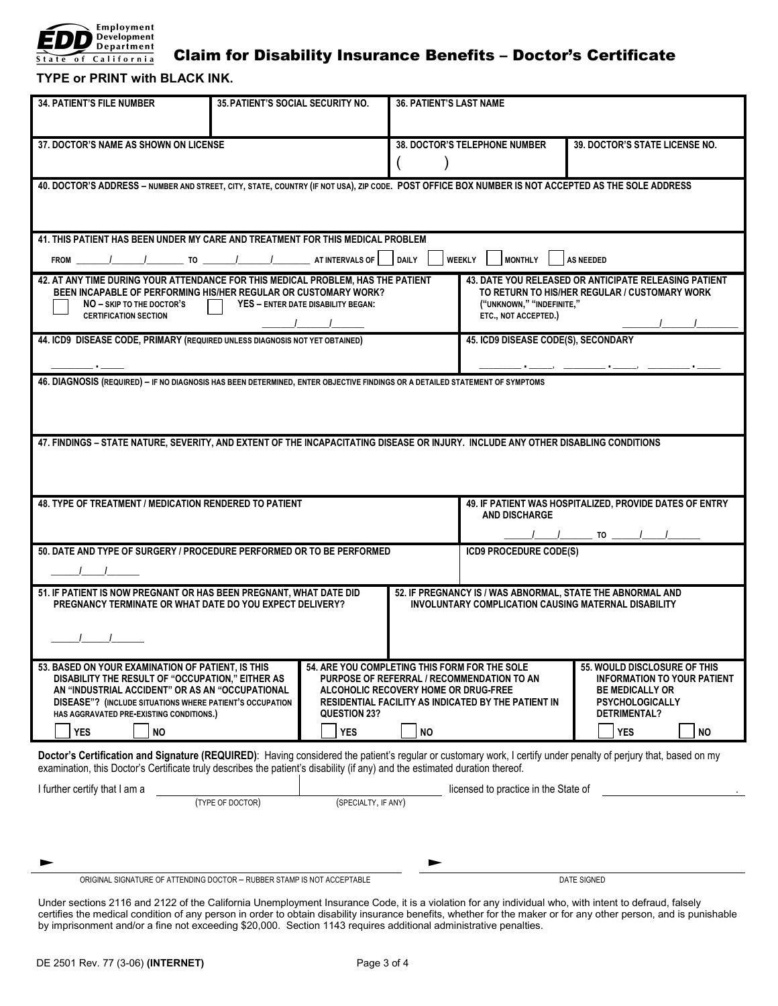

Claim for Disability Insurance Benefits – Doctor's Certificate

**TYPE or PRINT with BLACK INK.** 

| <b>34. PATIENT'S FILE NUMBER</b>                                                                                                                                                                                                                                                                                                                                                                                     | <b>35. PATIENT'S SOCIAL SECURITY NO.</b>                                                                                                                                                                                                                                                                                                                                                                                                  | <b>36. PATIENT'S LAST NAME</b>                                                |                                                                                                                                                             |                                                                                                                                        |  |
|----------------------------------------------------------------------------------------------------------------------------------------------------------------------------------------------------------------------------------------------------------------------------------------------------------------------------------------------------------------------------------------------------------------------|-------------------------------------------------------------------------------------------------------------------------------------------------------------------------------------------------------------------------------------------------------------------------------------------------------------------------------------------------------------------------------------------------------------------------------------------|-------------------------------------------------------------------------------|-------------------------------------------------------------------------------------------------------------------------------------------------------------|----------------------------------------------------------------------------------------------------------------------------------------|--|
| <b>37. DOCTOR'S NAME AS SHOWN ON LICENSE</b>                                                                                                                                                                                                                                                                                                                                                                         |                                                                                                                                                                                                                                                                                                                                                                                                                                           | <b>38. DOCTOR'S TELEPHONE NUMBER</b><br><b>39. DOCTOR'S STATE LICENSE NO.</b> |                                                                                                                                                             |                                                                                                                                        |  |
| 40. DOCTOR'S ADDRESS - NUMBER AND STREET, CITY, STATE, COUNTRY (IF NOT USA), ZIP CODE. POST OFFICE BOX NUMBER IS NOT ACCEPTED AS THE SOLE ADDRESS                                                                                                                                                                                                                                                                    |                                                                                                                                                                                                                                                                                                                                                                                                                                           |                                                                               |                                                                                                                                                             |                                                                                                                                        |  |
| 41. THIS PATIENT HAS BEEN UNDER MY CARE AND TREATMENT FOR THIS MEDICAL PROBLEM                                                                                                                                                                                                                                                                                                                                       |                                                                                                                                                                                                                                                                                                                                                                                                                                           | DAILY                                                                         | <b>WEEKLY</b><br><b>MONTHLY</b>                                                                                                                             | <b>AS NEEDED</b>                                                                                                                       |  |
| 42. AT ANY TIME DURING YOUR ATTENDANCE FOR THIS MEDICAL PROBLEM, HAS THE PATIENT<br>BEEN INCAPABLE OF PERFORMING HIS/HER REGULAR OR CUSTOMARY WORK?<br>YES - ENTER DATE DISABILITY BEGAN:<br>NO - SKIP TO THE DOCTOR'S<br><b>CERTIFICATION SECTION</b>                                                                                                                                                               |                                                                                                                                                                                                                                                                                                                                                                                                                                           |                                                                               | 43. DATE YOU RELEASED OR ANTICIPATE RELEASING PATIENT<br>TO RETURN TO HIS/HER REGULAR / CUSTOMARY WORK<br>("UNKNOWN," "INDEFINITE,"<br>ETC., NOT ACCEPTED.) |                                                                                                                                        |  |
| 44. ICD9 DISEASE CODE, PRIMARY (REQUIRED UNLESS DIAGNOSIS NOT YET OBTAINED)                                                                                                                                                                                                                                                                                                                                          |                                                                                                                                                                                                                                                                                                                                                                                                                                           |                                                                               | 45. ICD9 DISEASE CODE(S), SECONDARY                                                                                                                         |                                                                                                                                        |  |
| 46. DIAGNOSIS (REQUIRED) - IF NO DIAGNOSIS HAS BEEN DETERMINED, ENTER OBJECTIVE FINDINGS OR A DETAILED STATEMENT OF SYMPTOMS                                                                                                                                                                                                                                                                                         |                                                                                                                                                                                                                                                                                                                                                                                                                                           |                                                                               |                                                                                                                                                             |                                                                                                                                        |  |
| 47. FINDINGS - STATE NATURE, SEVERITY, AND EXTENT OF THE INCAPACITATING DISEASE OR INJURY. INCLUDE ANY OTHER DISABLING CONDITIONS                                                                                                                                                                                                                                                                                    |                                                                                                                                                                                                                                                                                                                                                                                                                                           |                                                                               |                                                                                                                                                             |                                                                                                                                        |  |
| 48. TYPE OF TREATMENT / MEDICATION RENDERED TO PATIENT                                                                                                                                                                                                                                                                                                                                                               |                                                                                                                                                                                                                                                                                                                                                                                                                                           |                                                                               | 49. IF PATIENT WAS HOSPITALIZED, PROVIDE DATES OF ENTRY<br>AND DISCHARGE                                                                                    |                                                                                                                                        |  |
| 50. DATE AND TYPE OF SURGERY / PROCEDURE PERFORMED OR TO BE PERFORMED                                                                                                                                                                                                                                                                                                                                                |                                                                                                                                                                                                                                                                                                                                                                                                                                           |                                                                               | <b>ICD9 PROCEDURE CODE(S)</b>                                                                                                                               |                                                                                                                                        |  |
| 51. IF PATIENT IS NOW PREGNANT OR HAS BEEN PREGNANT, WHAT DATE DID<br><b>PREGNANCY TERMINATE OR WHAT DATE DO YOU EXPECT DELIVERY?</b>                                                                                                                                                                                                                                                                                |                                                                                                                                                                                                                                                                                                                                                                                                                                           |                                                                               |                                                                                                                                                             | 52. IF PREGNANCY IS / WAS ABNORMAL, STATE THE ABNORMAL AND<br>INVOLUNTARY COMPLICATION CAUSING MATERNAL DISABILITY                     |  |
|                                                                                                                                                                                                                                                                                                                                                                                                                      |                                                                                                                                                                                                                                                                                                                                                                                                                                           |                                                                               |                                                                                                                                                             |                                                                                                                                        |  |
| HAS AGGRAVATED PRE-EXISTING CONDITIONS.)                                                                                                                                                                                                                                                                                                                                                                             | 53. BASED ON YOUR EXAMINATION OF PATIENT, IS THIS<br>54. ARE YOU COMPLETING THIS FORM FOR THE SOLE<br>DISABILITY THE RESULT OF "OCCUPATION." EITHER AS<br>PURPOSE OF REFERRAL / RECOMMENDATION TO AN<br>AN "INDUSTRIAL ACCIDENT" OR AS AN "OCCUPATIONAL<br>ALCOHOLIC RECOVERY HOME OR DRUG-FREE<br>RESIDENTIAL FACILITY AS INDICATED BY THE PATIENT IN<br><b>DISEASE"? (INCLUDE SITUATIONS WHERE PATIENT'S OCCUPATION</b><br>QUESTION 23? |                                                                               |                                                                                                                                                             | 55. WOULD DISCLOSURE OF THIS<br><b>INFORMATION TO YOUR PATIENT</b><br><b>BE MEDICALLY OR</b><br>PSYCHOLOGICALLY<br><b>DETRIMENTAL?</b> |  |
| <b>YES</b><br><b>NO</b>                                                                                                                                                                                                                                                                                                                                                                                              | <b>YES</b>                                                                                                                                                                                                                                                                                                                                                                                                                                | <b>NO</b>                                                                     |                                                                                                                                                             | <b>YES</b><br><b>NO</b>                                                                                                                |  |
| Doctor's Certification and Signature (REQUIRED): Having considered the patient's regular or customary work, I certify under penalty of perjury that, based on my<br>examination, this Doctor's Certificate truly describes the patient's disability (if any) and the estimated duration thereof.<br>I further certify that I am a<br>licensed to practice in the State of<br>(TYPE OF DOCTOR)<br>(SPECIALTY, IF ANY) |                                                                                                                                                                                                                                                                                                                                                                                                                                           |                                                                               |                                                                                                                                                             |                                                                                                                                        |  |
|                                                                                                                                                                                                                                                                                                                                                                                                                      |                                                                                                                                                                                                                                                                                                                                                                                                                                           |                                                                               |                                                                                                                                                             |                                                                                                                                        |  |
|                                                                                                                                                                                                                                                                                                                                                                                                                      | ORIGINAL SIGNATURE OF ATTENDING DOCTOR - RUBBER STAMP IS NOT ACCEPTABLE                                                                                                                                                                                                                                                                                                                                                                   |                                                                               |                                                                                                                                                             | <b>DATE SIGNED</b>                                                                                                                     |  |

Under sections 2116 and 2122 of the California Unemployment Insurance Code, it is a violation for any individual who, with intent to defraud, falsely certifies the medical condition of any person in order to obtain disability insurance benefits, whether for the maker or for any other person, and is punishable by imprisonment and/or a fine not exceeding \$20,000. Section 1143 requires additional administrative penalties.